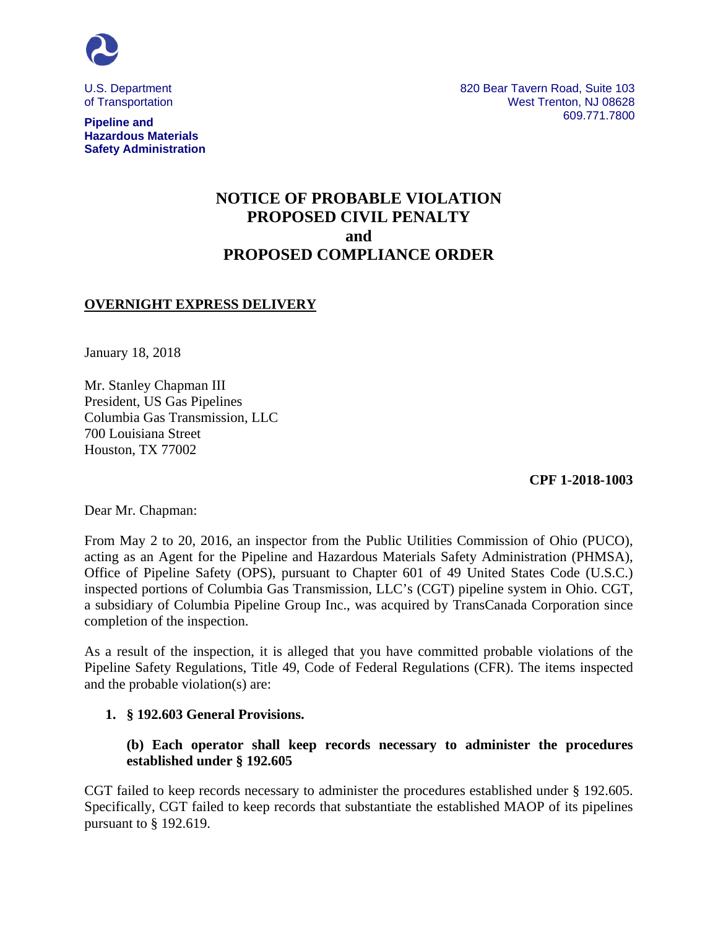

**Hazardous Materials Safety Administration** 

U.S. Department **820 Bear Tavern Road, Suite 103** of Transportation Number of Transportation Number of Transportation Number 2012 and Muslim Control of Transportation 609.771.7800 **Pipeline and** 

# **NOTICE OF PROBABLE VIOLATION PROPOSED CIVIL PENALTY and PROPOSED COMPLIANCE ORDER**

## **OVERNIGHT EXPRESS DELIVERY**

January 18, 2018

Mr. Stanley Chapman III President, US Gas Pipelines Columbia Gas Transmission, LLC 700 Louisiana Street Houston, TX 77002

**CPF 1-2018-1003** 

Dear Mr. Chapman:

From May 2 to 20, 2016, an inspector from the Public Utilities Commission of Ohio (PUCO), acting as an Agent for the Pipeline and Hazardous Materials Safety Administration (PHMSA), Office of Pipeline Safety (OPS), pursuant to Chapter 601 of 49 United States Code (U.S.C.) inspected portions of Columbia Gas Transmission, LLC's (CGT) pipeline system in Ohio. CGT, a subsidiary of Columbia Pipeline Group Inc., was acquired by TransCanada Corporation since completion of the inspection.

As a result of the inspection, it is alleged that you have committed probable violations of the Pipeline Safety Regulations, Title 49, Code of Federal Regulations (CFR). The items inspected and the probable violation(s) are:

#### **1. § 192.603 General Provisions.**

## **(b) Each operator shall keep records necessary to administer the procedures established under § 192.605**

CGT failed to keep records necessary to administer the procedures established under § 192.605. Specifically, CGT failed to keep records that substantiate the established MAOP of its pipelines pursuant to § 192.619.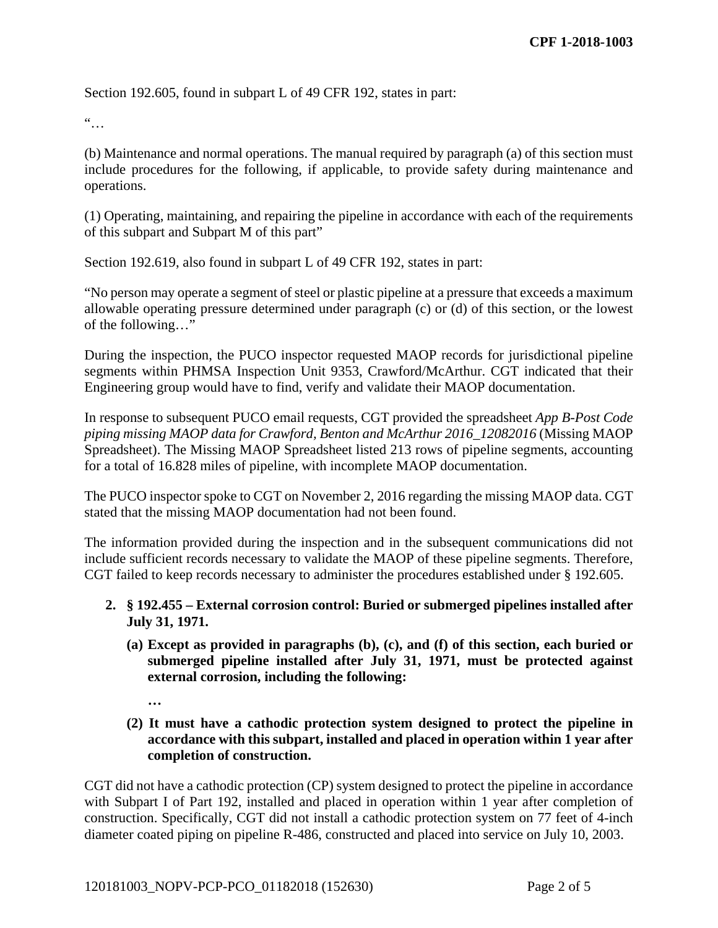Section 192.605, found in subpart L of 49 CFR 192, states in part:

 $\dddot{\bullet}$ 

(b) Maintenance and normal operations. The manual required by paragraph (a) of this section must include procedures for the following, if applicable, to provide safety during maintenance and operations.

(1) Operating, maintaining, and repairing the pipeline in accordance with each of the requirements of this subpart and Subpart M of this part"

Section 192.619, also found in subpart L of 49 CFR 192, states in part:

"No person may operate a segment of steel or plastic pipeline at a pressure that exceeds a maximum allowable operating pressure determined under paragraph (c) or (d) of this section, or the lowest of the following…"

During the inspection, the PUCO inspector requested MAOP records for jurisdictional pipeline segments within PHMSA Inspection Unit 9353, Crawford/McArthur. CGT indicated that their Engineering group would have to find, verify and validate their MAOP documentation.

In response to subsequent PUCO email requests, CGT provided the spreadsheet *App B-Post Code piping missing MAOP data for Crawford, Benton and McArthur 2016\_12082016* (Missing MAOP Spreadsheet). The Missing MAOP Spreadsheet listed 213 rows of pipeline segments, accounting for a total of 16.828 miles of pipeline, with incomplete MAOP documentation.

The PUCO inspector spoke to CGT on November 2, 2016 regarding the missing MAOP data. CGT stated that the missing MAOP documentation had not been found.

The information provided during the inspection and in the subsequent communications did not include sufficient records necessary to validate the MAOP of these pipeline segments. Therefore, CGT failed to keep records necessary to administer the procedures established under § 192.605.

## **2. § 192.455 – External corrosion control: Buried or submerged pipelines installed after July 31, 1971.**

- **(a) Except as provided in paragraphs (b), (c), and (f) of this section, each buried or submerged pipeline installed after July 31, 1971, must be protected against external corrosion, including the following:** 
	- **…**
- **(2) It must have a cathodic protection system designed to protect the pipeline in accordance with this subpart, installed and placed in operation within 1 year after completion of construction.**

CGT did not have a cathodic protection (CP) system designed to protect the pipeline in accordance with Subpart I of Part 192, installed and placed in operation within 1 year after completion of construction. Specifically, CGT did not install a cathodic protection system on 77 feet of 4-inch diameter coated piping on pipeline R-486, constructed and placed into service on July 10, 2003.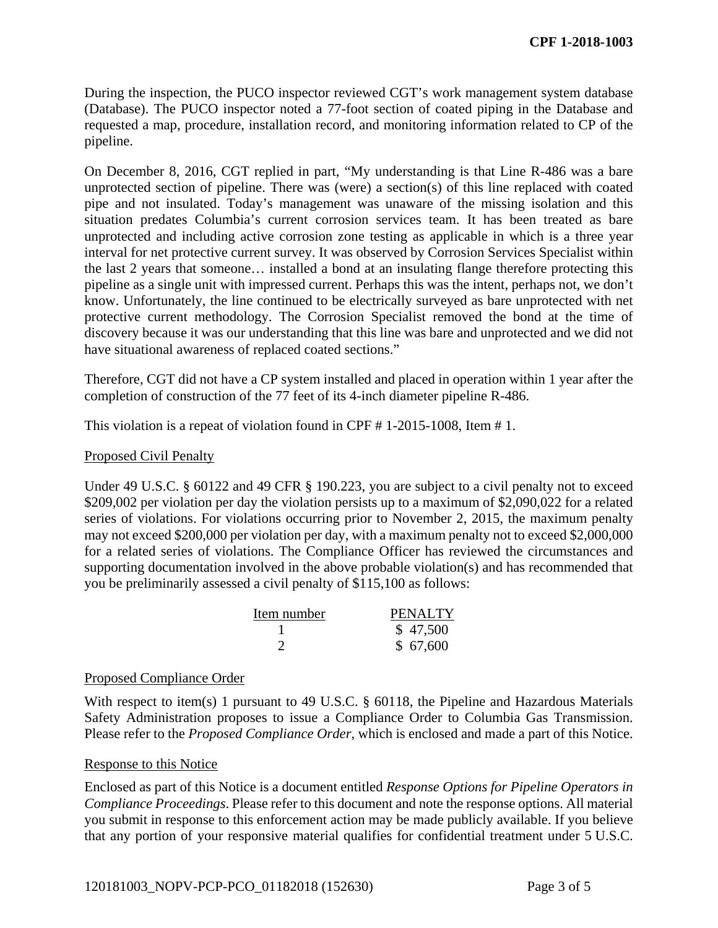During the inspection, the PUCO inspector reviewed CGT's work management system database (Database). The PUCO inspector noted a 77-foot section of coated piping in the Database and requested a map, procedure, installation record, and monitoring information related to CP of the pipeline.

On December 8, 2016, CGT replied in part, "My understanding is that Line R-486 was a bare unprotected section of pipeline. There was (were) a section(s) of this line replaced with coated pipe and not insulated. Today's management was unaware of the missing isolation and this situation predates Columbia's current corrosion services team. It has been treated as bare unprotected and including active corrosion zone testing as applicable in which is a three year interval for net protective current survey. It was observed by Corrosion Services Specialist within the last 2 years that someone… installed a bond at an insulating flange therefore protecting this pipeline as a single unit with impressed current. Perhaps this was the intent, perhaps not, we don't know. Unfortunately, the line continued to be electrically surveyed as bare unprotected with net protective current methodology. The Corrosion Specialist removed the bond at the time of discovery because it was our understanding that this line was bare and unprotected and we did not have situational awareness of replaced coated sections."

Therefore, CGT did not have a CP system installed and placed in operation within 1 year after the completion of construction of the 77 feet of its 4-inch diameter pipeline R-486.

This violation is a repeat of violation found in CPF # 1-2015-1008, Item # 1.

### Proposed Civil Penalty

Under 49 U.S.C. § 60122 and 49 CFR § 190.223, you are subject to a civil penalty not to exceed \$209,002 per violation per day the violation persists up to a maximum of \$2,090,022 for a related series of violations. For violations occurring prior to November 2, 2015, the maximum penalty may not exceed \$200,000 per violation per day, with a maximum penalty not to exceed \$2,000,000 for a related series of violations. The Compliance Officer has reviewed the circumstances and supporting documentation involved in the above probable violation(s) and has recommended that you be preliminarily assessed a civil penalty of \$115,100 as follows:

| Item number | <b>PENALTY</b> |
|-------------|----------------|
|             | \$47,500       |
|             | \$67,600       |

#### Proposed Compliance Order

With respect to item(s) 1 pursuant to 49 U.S.C. § 60118, the Pipeline and Hazardous Materials Safety Administration proposes to issue a Compliance Order to Columbia Gas Transmission. Please refer to the *Proposed Compliance Order*, which is enclosed and made a part of this Notice.

#### Response to this Notice

Enclosed as part of this Notice is a document entitled *Response Options for Pipeline Operators in Compliance Proceedings*. Please refer to this document and note the response options. All material you submit in response to this enforcement action may be made publicly available. If you believe that any portion of your responsive material qualifies for confidential treatment under 5 U.S.C.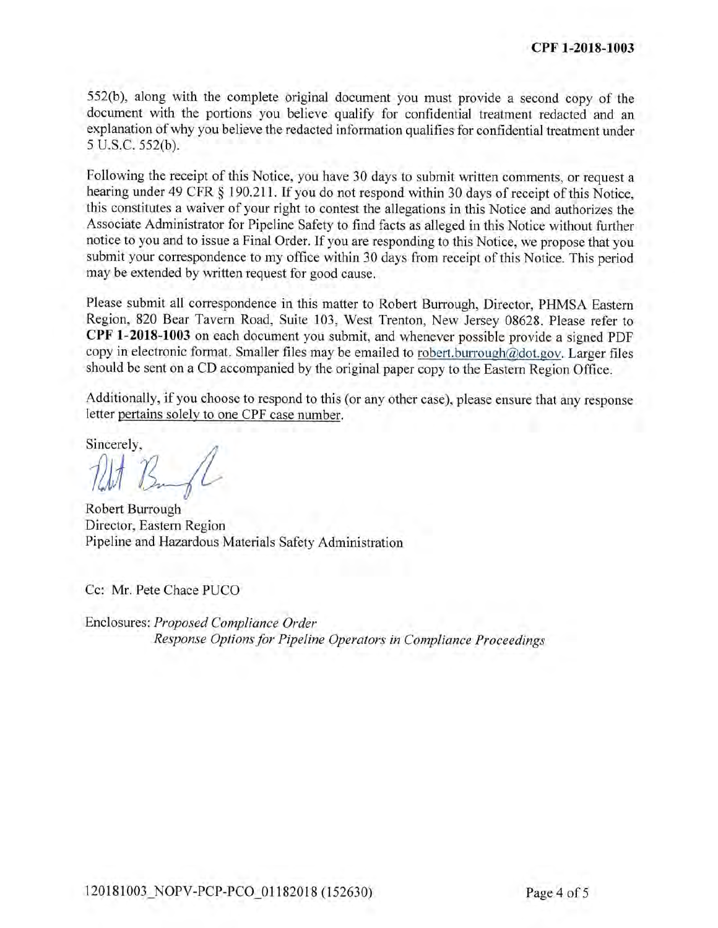552(b), along with the complete original document you must provide a second copy of the document with the portions you believe qualify for confidential treatment redacted and an explanation of why you believe the redacted information qualifies for confidential treatment under 5 U.S.C. 552(b).

Following the receipt of this Notice, you have 30 days to submit written comments, or request a hearing under 49 CFR § 190.211. If you do not respond within 30 days of receipt of this Notice, this constitutes a waiver of your right to contest the allegations in this Notice and authorizes the Associate Administrator for Pipeline Safety to find facts as alleged in this Notice without further notice to you and to issue a Final Order. If you are responding to this Notice, we propose that you submit your correspondence to my office within 30 days from receipt of this Notice. This period may be extended by written request for good cause.

Please submit all correspondence in this matter to Robert Burrough, Director, PHMSA Eastern Region, 820 Bear Tavern Road, Suite 103, West Trenton, New Jersey 08628. Please refer to CPF 1-2018-1003 on each document you submit, and whenever possible provide a signed PDF copy in electronic format. Smaller files may be emailed to robert.burrough@dot.gov. Larger files should be sent on a CD accompanied by the original paper copy to the Eastern Region Office.

Additionally, if you choose to respond to this (or any other case), please ensure that any response letter pertains solely to one CPF case number.

Sincerely,

Robert Burrough Director, Eastern Region Pipeline and Hazardous Materials Safety Administration

Cc: Mr. Pete Chace PUCO

Enclosures: Proposed Compliance Order Response Options for Pipeline Operators in Compliance Proceedings